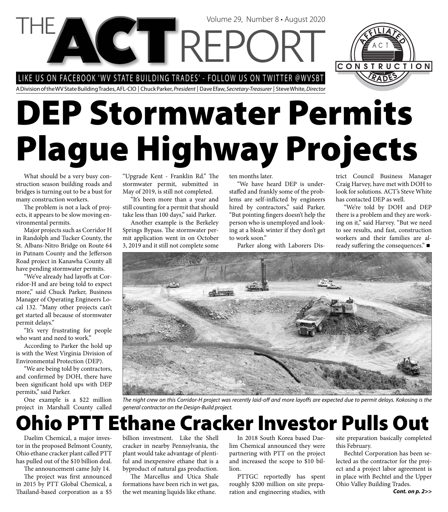LIKE US ON FACEBOOK 'WV STATE BUILDING TRADES' - FOLLOW US ON TWITTER @WVSBT

A Division of the WV State Building Trades, AFL-CIO | Chuck Parker, President | Dave Efaw, Secretary-Treasurer | Steve White, Director

# **DEP Stormwater Permits Plague Highway Projects**

Volume 29, Number 8 • August 2020

What should be a very busy construction season building roads and bridges is turning out to be a bust for many construction workers.

The problem is not a lack of projects, it appears to be slow moving environmental permits.

Major projects such as Corridor H in Randolph and Tucker County, the St. Albans-Nitro Bridge on Route 64 in Putnam County and the Jefferson Road project in Kanawha County all have pending stormwater permits.

"We've already had layoffs at Corridor-H and are being told to expect more," said Chuck Parker, Business Manager of Operating Engineers Local 132. "Many other projects can't get started all because of stormwater permit delays."

"It's very frustrating for people who want and need to work."

According to Parker the hold up is with the West Virginia Division of Environmental Protection (DEP).

"We are being told by contractors, and confirmed by DOH, there have been significant hold ups with DEP permits," said Parker.

One example is a \$22 million project in Marshall County called

"Upgrade Kent - Franklin Rd." The stormwater permit, submitted in May of 2019, is still not completed.

"It's been more than a year and still counting for a permit that should take less than 100 days," said Parker.

Another example is the Berkeley Springs Bypass. The stormwater permit application went in on October 3, 2019 and it still not complete some

ten months later.

"We have heard DEP is understaffed and frankly some of the problems are self-inflicted by engineers hired by contractors," said Parker. "But pointing fingers doesn't help the person who is unemployed and looking at a bleak winter if they don't get to work soon."

Parker along with Laborers Dis-

trict Council Business Manager Craig Harvey, have met with DOH to look for solutions. ACT's Steve White has contacted DEP as well.

CONSTRUCTION

"We're told by DOH and DEP there is a problem and they are working on it," said Harvey. "But we need to see results, and fast, construction workers and their families are already suffering the consequences." $\blacksquare$ 



The night crew on this Corridor-H project was recently laid-off and more layoffs are expected due to permit delays. Kokosing is the general contractor on the Design-Build project.

### **Ohio PTT Ethane Cracker Investor Pulls Out**

Daelim Chemical, a major investor in the proposed Belmont County, Ohio ethane cracker plant called PTT has pulled out of the \$10 billion deal.

The announcement came July 14.

The project was first announced in 2015 by PTT Global Chemical, a Thailand-based corporation as a \$5

billion investment. Like the Shell cracker in nearby Pennsylvania, the plant would take advantage of plentiful and inexpensive ethane that is a byproduct of natural gas production.

The Marcellus and Utica Shale formations have been rich in wet gas, the wet meaning liquids like ethane.

In 2018 South Korea based Daelim Chemical announced they were partnering with PTT on the project and increased the scope to \$10 billion.

PTTGC reportedly has spent roughly \$200 million on site preparation and engineering studies, with

site preparation basically completed this February.

Bechtel Corporation has been selected as the contractor for the project and a project labor agreement is in place with Bechtel and the Upper Ohio Valley Building Trades.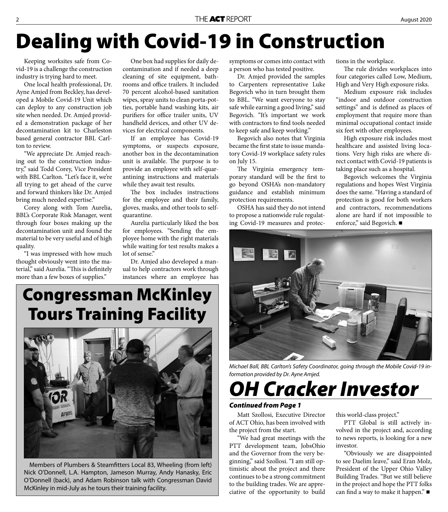## **Dealing with Covid-19 in Construction**

Keeping worksites safe from Covid-19 is a challenge the construction industry is trying hard to meet.

One local health professional, Dr. Ayne Amjed from Beckley, has developed a Mobile Covid-19 Unit which can deploy to any construction job site when needed. Dr. Amjed provided a demonstration package of her decontamination kit to Charleston based general contractor BBL Carlton to review.

"We appreciate Dr. Amjed reaching out to the construction industry," said Todd Corey, Vice President with BBL Carlton. "Let's face it, we're all trying to get ahead of the curve and forward thinkers like Dr. Amjed bring much needed expertise."

Corey along with Tom Aurelia, BBL's Corporate Risk Manager, went through four boxes making up the decontamination unit and found the material to be very useful and of high quality.

"I was impressed with how much thought obviously went into the material," said Aurelia. "This is definitely more than a few boxes of supplies."

One box had supplies for daily decontamination and if needed a deep cleaning of site equipment, bathrooms and office trailers. It included 70 percent alcohol-based sanitation wipes, spray units to clean porta-potties, portable hand washing kits, air purifiers for office trailer units, UV handheld devices, and other UV devices for electrical components.

If an employee has Covid-19 symptoms, or suspects exposure, another box in the decontamination unit is available. The purpose is to provide an employee with self-quarantining instructions and materials while they await test results.

The box includes instructions for the employee and their family, gloves, masks, and other tools to selfquarantine.

Aurelia particularly liked the box for employees. "Sending the employee home with the right materials while waiting for test results makes a lot of sense."

Dr. Amjed also developed a manual to help contractors work through instances where an employee has

### **Congressman McKinley Tours Training Facility**



Members of Plumbers & Steamfitters Local 83, Wheeling (from left) Nick O'Donnell, L.A. Hampton, Jameson Murray, Andy Hanasky, Eric O'Donnell (back), and Adam Robinson talk with Congressman David McKinley in mid-July as he tours their training facility.

symptoms or comes into contact with a person who has tested positive.

Dr. Amjed provided the samples to Carpenters representative Luke Begovich who in turn brought them to BBL. "We want everyone to stay safe while earning a good living," said Begovich. "It's important we work with contractors to find tools needed to keep safe and keep working."

Begovich also notes that Virginia became the first state to issue mandatory Covid-19 workplace safety rules on July 15.

The Virginia emergency temporary standard will be the first to go beyond OSHA's non-mandatory guidance and establish minimum protection requirements.

OSHA has said they do not intend to propose a nationwide rule regulating Covid-19 measures and protections in the workplace.

The rule divides workplaces into four categories called Low, Medium, High and Very High exposure risks.

Medium exposure risk includes "indoor and outdoor construction settings" and is defined as places of employment that require more than minimal occupational contact inside six feet with other employees.

High exposure risk includes most healthcare and assisted living locations. Very high risks are where direct contact with Covid-19 patients is taking place such as a hospital.

Begovich welcomes the Virginia regulations and hopes West Virginia does the same. "Having a standard of protection is good for both workers and contractors, recommendations alone are hard if not impossible to enforce," said Begovich. ■



Michael Ball, BBL Carlton's Safety Coordinator, going through the Mobile Covid-19 information provided by Dr. Ayne Amjed.

### *OH Cracker Investor*

#### *Continued from Page 1*

Matt Szollosi, Executive Director of ACT Ohio, has been involved with the project from the start.

"We had great meetings with the PTT development team, JobsOhio and the Governor from the very beginning," said Szollosi. "I am still optimistic about the project and there continues to be a strong commitment to the building trades. We are appreciative of the opportunity to build

this world-class project."

PTT Global is still actively involved in the project and, according to news reports, is looking for a new investor.

"Obviously we are disappointed to see Daelim leave," said Eran Molz, President of the Upper Ohio Valley Building Trades. "But we still believe in the project and hope the PTT folks can find a way to make it happen." $\blacksquare$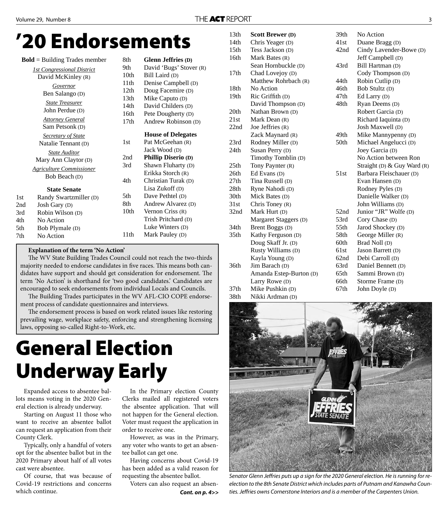### **'20 Endorsements**

|     | $Bold = Building$ Trades member   | 8th              | <b>Glenn Jeffries (D)</b>  |
|-----|-----------------------------------|------------------|----------------------------|
|     | <b>1st Congressional District</b> | 9th              | David 'Bugs' Stover (R)    |
|     | David McKinley (R)                | 10th             | Bill Laird (D)             |
|     | Governor                          | 11th             | Denise Campbell (D)        |
|     | Ben Salango (D)                   | 12th             | Doug Facemire (D)          |
|     |                                   | 13 <sub>th</sub> | Mike Caputo (D)            |
|     | <b>State Treasurer</b>            | 14th             | David Childers (D)         |
|     | John Perdue (D)                   | 16th             | Pete Dougherty (D)         |
|     | <b>Attorney General</b>           | 17th             | Andrew Robinson (D)        |
|     | Sam Petsonk (D)                   |                  |                            |
|     | <b>Secretary of State</b>         |                  | <b>House of Delegates</b>  |
|     | Natalie Tennant (D)               | 1st              | Pat McGeehan (R)           |
|     | <b>State Auditor</b>              |                  | Jack Wood (D)              |
|     | Mary Ann Claytor (D)              | 2nd              | <b>Phillip Diserio (D)</b> |
|     |                                   | 3rd              | Shawn Fluharty (D)         |
|     | <b>Agriculture Commissioner</b>   |                  | Erikka Storch (R)          |
|     | Bob Beach (D)                     | 4th              | Christian Turak (D)        |
|     | <b>State Senate</b>               |                  | Lisa Zukoff (D)            |
| 1st | Randy Swartzmiller (D)            | 5th              | Dave Pethtel (D)           |
| 2nd | Josh Gary (D)                     | 8th              | Andrew Alvarez (D)         |
| 3rd | Robin Wilson (D)                  | 10th             | Vernon Criss $(R)$         |
| 4th | No Action                         |                  | Trish Pritchard (D)        |
| 5th | Bob Plymale (D)                   |                  | Luke Winters (D)           |
| 7th | No Action                         | 11th             | Mark Pauley (D)            |

#### **Explanation of the term 'No Action'**

The WV State Building Trades Council could not reach the two-thirds majority needed to endorse candidates in five races. This means both candidates have support and should get consideration for endorsement. The term 'No Action' is shorthand for 'two good candidates.' Candidates are encouraged to seek endorsements from individual Locals and Councils.

The Building Trades participates in the WV AFL-CIO COPE endorsement process of candidate questionnaires and interviews.

The endorsement process is based on work related issues like restoring prevailing wage, workplace safety, enforcing and strengthening licensing laws, opposing so-called Right-to-Work, etc.

### **General Election Underway Early**

Expanded access to absentee ballots means voting in the 2020 General election is already underway.

Starting on August 11 those who want to receive an absentee ballot can request an application from their County Clerk.

Typically, only a handful of voters opt for the absentee ballot but in the 2020 Primary about half of all votes cast were absentee.

Of course, that was because of Covid-19 restrictions and concerns which continue.

In the Primary election County Clerks mailed all registered voters the absentee application. That will not happen for the General election. Voter must request the application in order to receive one.

However, as was in the Primary, any voter who wants to get an absentee ballot can get one.

Having concerns about Covid-19 has been added as a valid reason for requesting the absentee ballot.

Voters can also request an absen-*Cont. on p. 4>>*

| 13th                      | <b>Scott Brewer (D)</b> | 39th | No Action                   |
|---------------------------|-------------------------|------|-----------------------------|
| 14th                      | Chris Yeager (D)        | 41st | Duane Bragg (D)             |
| 15 <sub>th</sub>          | Tess Jackson (D)        | 42nd | Cindy Lavender-Bowe (D)     |
| 16th                      | Mark Bates (R)          |      | Jeff Campbell (D)           |
|                           | Sean Hornbuckle (D)     | 43rd | Bill Hartman (D)            |
| 17th                      | Chad Lovejoy (D)        |      | Cody Thompson (D)           |
|                           | Matthew Rohrbach (R)    | 44th | Robin Cutlip (D)            |
| 18th                      | No Action               | 46th | Bob Stultz (D)              |
| 19th                      | Ric Griffith (D)        | 47th | Ed Larry (D)                |
|                           | David Thompson (D)      | 48th | Ryan Deems (D)              |
| 20th                      | Nathan Brown (D)        |      | Robert Garcia (D)           |
| 21st                      | Mark Dean (R)           |      | Richard Iaquinta (D)        |
| 22nd                      | Joe Jeffries (R)        |      | Josh Maxwell (D)            |
|                           | Zack Maynard (R)        | 49th | Mike Mannypenny (D)         |
| 23rd                      | Rodney Miller (D)       | 50th | Michael Angelucci (D)       |
| 24th                      | Susan Perry (D)         |      | Joey Garcia (D)             |
|                           | Timothy Tomblin (D)     |      | No Action between Ron       |
| 25th                      | Tony Paynter (R)        |      | Straight (D) & Guy Ward (R) |
| 26th                      | Ed Evans (D)            | 51st | Barbara Fleischauer (D)     |
| 27th                      | Tina Russell (D)        |      | Evan Hansen (D)             |
| 28th                      | Ryne Nahodi (D)         |      | Rodney Pyles (D)            |
| 30th                      | Mick Bates (D)          |      | Danielle Walker (D)         |
| 31st                      | Chris Toney $(R)$       |      | John Williams (D)           |
| 32nd                      | Mark Hurt (D)           | 52nd | Junior "JR" Wolfe (D)       |
|                           | Margaret Staggers (D)   | 53rd | Cory Chase (D)              |
| 34th                      | Brent Boggs (D)         | 55th | Jarod Shockey (D)           |
| 35 <sub>th</sub>          | Kathy Ferguson (D)      | 58th | George Miller (R)           |
|                           | Doug Skaff Jr. (D)      | 60th | Brad Noll (D)               |
|                           | Rusty Williams (D)      | 61st | Jason Barrett (D)           |
|                           | Kayla Young (D)         | 62nd | Debi Carroll (D)            |
| 36th                      | Jim Barach (D)          | 63rd | Daniel Bennett (D)          |
|                           | Amanda Estep-Burton (D) | 65th | Sammi Brown (D)             |
|                           | Larry Rowe (D)          | 66th | Storme Frame (D)            |
| 37th                      | Mike Pushkin (D)        | 67th | John Doyle (D)              |
| $\mathbf{A}$ $\mathbf{A}$ |                         |      |                             |



Senator Glenn Jeffries puts up a sign for the 2020 General election. He is running for reelection to the 8th Senate District which includes parts of Putnam and Kanawha Counties. Jeffries owns Cornerstone Interiors and is a member of the Carpenters Union.